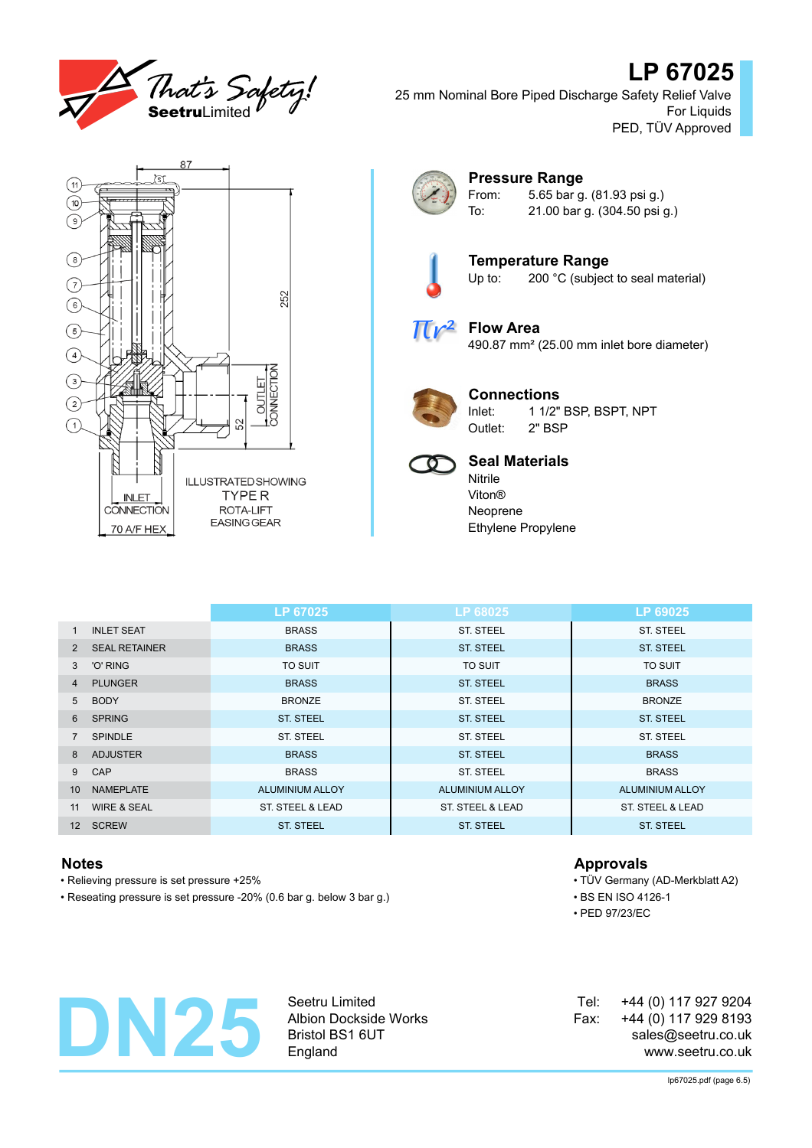

# **LP 67025**

25 mm Nominal Bore Piped Discharge Safety Relief Valve For Liquids PED, TÜV Approved



### **Pressure Range** From: 5.65 bar g. (81.93 psi g.)

To: 21.00 bar g. (304.50 psi g.)



**Temperature Range**<br>Up to: 200 °C (subject 200 °C (subject to seal material)



## **Flow Area** 490.87 mm² (25.00 mm inlet bore diameter)



# **Connections**

Inlet: 1 1/2" BSP, BSPT, NPT Outlet: 2" BSP



## **Seal Materials**

Nitrile Viton® Neoprene Ethylene Propylene

|                   |                        | LP 67025         | LP 68025         | LP 69025         |
|-------------------|------------------------|------------------|------------------|------------------|
| $\mathbf{1}$      | <b>INLET SEAT</b>      | <b>BRASS</b>     | <b>ST. STEEL</b> | <b>ST. STEEL</b> |
| 2                 | <b>SEAL RETAINER</b>   | <b>BRASS</b>     | <b>ST. STEEL</b> | <b>ST. STEEL</b> |
| 3                 | 'O' RING               | <b>TO SUIT</b>   | <b>TO SUIT</b>   | TO SUIT          |
| 4                 | <b>PLUNGER</b>         | <b>BRASS</b>     | <b>ST. STEEL</b> | <b>BRASS</b>     |
| 5                 | <b>BODY</b>            | <b>BRONZE</b>    | <b>ST. STEEL</b> | <b>BRONZE</b>    |
| 6                 | <b>SPRING</b>          | <b>ST. STEEL</b> | <b>ST. STEEL</b> | <b>ST. STEEL</b> |
|                   | <b>SPINDLE</b>         | <b>ST. STEEL</b> | <b>ST. STEEL</b> | ST. STEEL        |
| 8                 | <b>ADJUSTER</b>        | <b>BRASS</b>     | <b>ST. STEEL</b> | <b>BRASS</b>     |
| 9                 | CAP                    | <b>BRASS</b>     | <b>ST. STEEL</b> | <b>BRASS</b>     |
| 10 <sup>1</sup>   | <b>NAMEPLATE</b>       | ALUMINIUM ALLOY  | ALUMINIUM ALLOY  | ALUMINIUM ALLOY  |
| 11                | <b>WIRE &amp; SEAL</b> | ST. STEEL & LEAD | ST. STEEL & LEAD | ST. STEEL & LEAD |
| $12 \overline{ }$ | <b>SCREW</b>           | <b>ST. STEEL</b> | <b>ST. STEEL</b> | <b>ST. STEEL</b> |

- Relieving pressure is set pressure +25% TÜV Germany (AD-Merkblatt A2)
- Reseating pressure is set pressure -20% (0.6 bar g. below 3 bar g.) BS EN ISO 4126-1

## **Notes Approvals**

- 
- PED 97/23/EC



Seetru Limited Albion Dockside Works Bristol BS1 6UT England

| Tel: | +44 (0) 117 927 9204 |  |
|------|----------------------|--|
| Fax: | +44 (0) 117 929 8193 |  |
|      | sales@seetru.co.uk   |  |
|      | www.seetru.co.uk     |  |

lp67025.pdf (page 6.5)